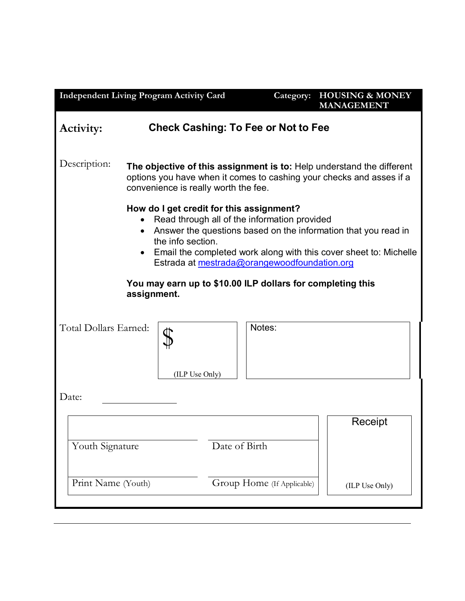| <b>Independent Living Program Activity Card</b>                                                                                                                                                                                                                                                                                                                                                |                                                                                                                                                                                       |               | Category:                  | <b>HOUSING &amp; MONEY</b><br><b>MANAGEMENT</b> |
|------------------------------------------------------------------------------------------------------------------------------------------------------------------------------------------------------------------------------------------------------------------------------------------------------------------------------------------------------------------------------------------------|---------------------------------------------------------------------------------------------------------------------------------------------------------------------------------------|---------------|----------------------------|-------------------------------------------------|
| <b>Check Cashing: To Fee or Not to Fee</b><br>Activity:                                                                                                                                                                                                                                                                                                                                        |                                                                                                                                                                                       |               |                            |                                                 |
| Description:                                                                                                                                                                                                                                                                                                                                                                                   | The objective of this assignment is to: Help understand the different<br>options you have when it comes to cashing your checks and asses if a<br>convenience is really worth the fee. |               |                            |                                                 |
| How do I get credit for this assignment?<br>Read through all of the information provided<br>Answer the questions based on the information that you read in<br>the info section.<br>Email the completed work along with this cover sheet to: Michelle<br>$\bullet$<br>Estrada at mestrada@orangewoodfoundation.org<br>You may earn up to \$10.00 ILP dollars for completing this<br>assignment. |                                                                                                                                                                                       |               |                            |                                                 |
| Total Dollars Earned:                                                                                                                                                                                                                                                                                                                                                                          | (ILP Use Only)                                                                                                                                                                        |               | Notes:                     |                                                 |
| Date:                                                                                                                                                                                                                                                                                                                                                                                          |                                                                                                                                                                                       |               |                            |                                                 |
| Youth Signature                                                                                                                                                                                                                                                                                                                                                                                |                                                                                                                                                                                       | Date of Birth |                            | Receipt                                         |
| Print Name (Youth)                                                                                                                                                                                                                                                                                                                                                                             |                                                                                                                                                                                       |               | Group Home (If Applicable) | (ILP Use Only)                                  |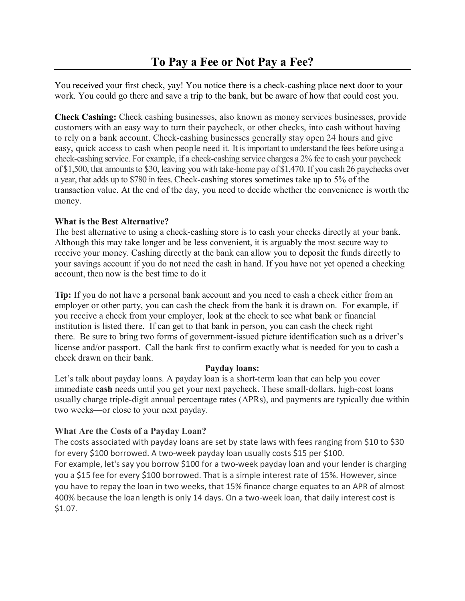You received your first check, yay! You notice there is a check-cashing place next door to your work. You could go there and save a trip to the bank, but be aware of how that could cost you.

**Check Cashing:** Check cashing businesses, also known as money services businesses, provide customers with an easy way to turn their paycheck, or other checks, into cash without having to rely on a bank account. Check-cashing businesses generally stay open 24 hours and give easy, quick access to cash when people need it. It is important to understand the fees before using a check-cashing service. For example, if a check-cashing service charges a 2% fee to cash your paycheck of \$1,500, that amounts to \$30, leaving you with take-home pay of \$1,470. If you cash 26 paychecks over a year, that adds up to \$780 in fees. Check-cashing stores sometimes take up to 5% of the transaction value. At the end of the day, you need to decide whether the convenience is worth the money.

## **What is the Best Alternative?**

The best alternative to using a check-cashing store is to cash your checks directly at your bank. Although this may take longer and be less convenient, it is arguably the most secure way to receive your money. Cashing directly at the bank can allow you to deposit the funds directly to your savings account if you do not need the cash in hand. If you have not yet opened a checking account, then now is the best time to do it

**Tip:** If you do not have a personal bank account and you need to cash a check either from an employer or other party, you can cash the check from the bank it is drawn on. For example, if you receive a check from your employer, look at the check to see what bank or financial institution is listed there. If can get to that bank in person, you can cash the check right there. Be sure to bring two forms of government-issued picture identification such as a driver's license and/or passport. Call the bank first to confirm exactly what is needed for you to cash a check drawn on their bank.

## **Payday loans:**

Let's talk about payday loans. A payday loan is a short-term loan that can help you cover immediate **cash** needs until you get your next paycheck. These small-dollars, high-cost loans usually charge triple-digit annual percentage rates (APRs), and payments are typically due within two weeks—or close to your next payday.

## **What Are the Costs of a Payday Loan?**

The costs associated with payday loans are set by state laws with fees ranging from \$10 to \$30 for every \$100 borrowed. A two-week payday loan usually costs \$15 per \$100. For example, let's say you borrow \$100 for a two-week payday loan and your lender is charging you a \$15 fee for every \$100 borrowed. That is a simple interest rate of 15%. However, since you have to repay the loan in two weeks, that 15% finance charge equates to an APR of almost 400% because the loan length is only 14 days. On a two-week loan, that daily interest cost is \$1.07.